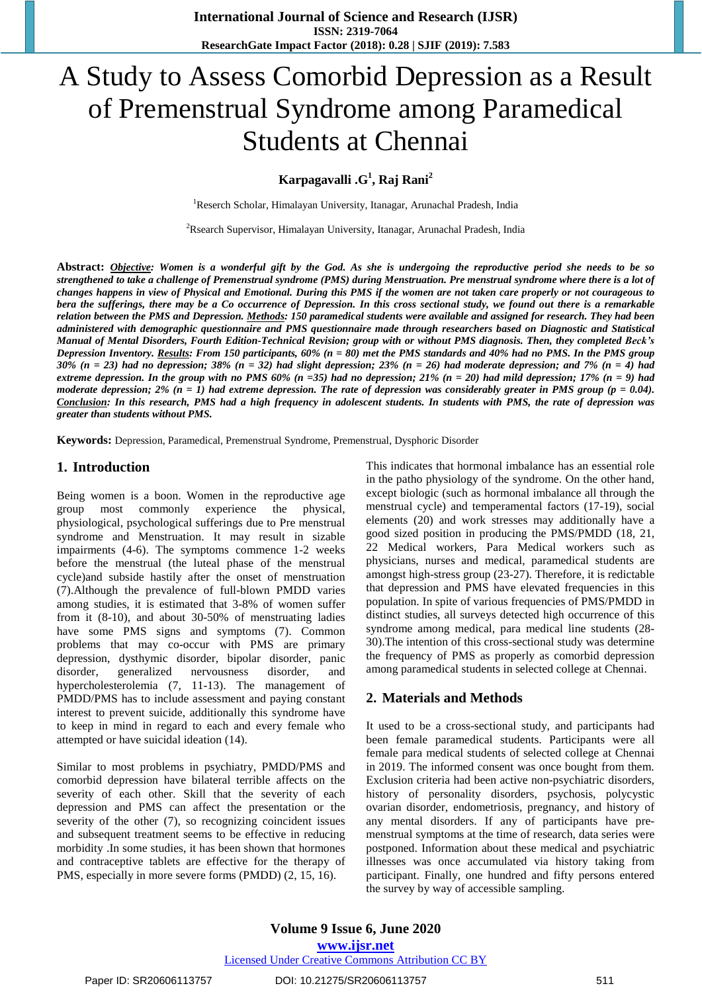# A Study to Assess Comorbid Depression as a Result of Premenstrual Syndrome among Paramedical Students at Chennai

**Karpagavalli .G 1 , Raj Rani<sup>2</sup>**

<sup>1</sup>Reserch Scholar, Himalayan University, Itanagar, Arunachal Pradesh, India

<sup>2</sup>Rsearch Supervisor, Himalayan University, Itanagar, Arunachal Pradesh, India

Abstract: Objective: Women is a wonderful gift by the God. As she is undergoing the reproductive period she needs to be so strengthened to take a challenge of Premenstrual syndrome (PMS) during Menstruation. Pre menstrual syndrome where there is a lot of changes happens in view of Physical and Emotional. During this PMS if the women are not taken care properly or not courageous to bera the sufferings, there may be a Co occurrence of Depression. In this cross sectional study, we found out there is a remarkable relation between the PMS and Depression. Methods: 150 paramedical students were available and assigned for research. They had been administered with demographic questionnaire and PMS questionnaire made through researchers based on Diagnostic and Statistical Manual of Mental Disorders, Fourth Edition-Technical Revision; group with or without PMS diagnosis. Then, they completed Beck's Depression Inventory. Results: From 150 participants,  $60\%$  ( $n = 80$ ) met the PMS standards and 40% had no PMS. In the PMS group  $30\%$  (n = 23) had no depression;  $38\%$  (n = 32) had slight depression; 23% (n = 26) had moderate depression; and 7% (n = 4) had extreme depression. In the group with no PMS 60% ( $n = 35$ ) had no depression; 21% ( $n = 20$ ) had mild depression; 17% ( $n = 9$ ) had moderate depression; 2% ( $n = 1$ ) had extreme depression. The rate of depression was considerably greater in PMS group ( $p = 0.04$ ). Conclusion: In this research, PMS had a high frequency in adolescent students. In students with PMS, the rate of depression was *greater than students without PMS.*

**Keywords:** Depression, Paramedical, Premenstrual Syndrome, Premenstrual, Dysphoric Disorder

#### **1. Introduction**

Being women is a boon. Women in the reproductive age group most commonly experience the physical, physiological, psychological sufferings due to Pre menstrual syndrome and Menstruation. It may result in sizable impairments (4-6). The symptoms commence 1-2 weeks before the menstrual (the luteal phase of the menstrual cycle)and subside hastily after the onset of menstruation (7).Although the prevalence of full-blown PMDD varies among studies, it is estimated that 3-8% of women suffer from it (8-10), and about 30-50% of menstruating ladies have some PMS signs and symptoms (7). Common problems that may co-occur with PMS are primary depression, dysthymic disorder, bipolar disorder, panic disorder, generalized nervousness disorder, and hypercholesterolemia (7, 11-13). The management of PMDD/PMS has to include assessment and paying constant interest to prevent suicide, additionally this syndrome have to keep in mind in regard to each and every female who attempted or have suicidal ideation (14).

Similar to most problems in psychiatry, PMDD/PMS and comorbid depression have bilateral terrible affects on the severity of each other. Skill that the severity of each depression and PMS can affect the presentation or the severity of the other (7), so recognizing coincident issues and subsequent treatment seems to be effective in reducing morbidity .In some studies, it has been shown that hormones and contraceptive tablets are effective for the therapy of PMS, especially in more severe forms (PMDD) (2, 15, 16).

This indicates that hormonal imbalance has an essential role in the patho physiology of the syndrome. On the other hand, except biologic (such as hormonal imbalance all through the menstrual cycle) and temperamental factors (17-19), social elements (20) and work stresses may additionally have a good sized position in producing the PMS/PMDD (18, 21, 22 Medical workers, Para Medical workers such as physicians, nurses and medical, paramedical students are amongst high-stress group (23-27). Therefore, it is redictable that depression and PMS have elevated frequencies in this population. In spite of various frequencies of PMS/PMDD in distinct studies, all surveys detected high occurrence of this syndrome among medical, para medical line students (28- 30).The intention of this cross-sectional study was determine the frequency of PMS as properly as comorbid depression among paramedical students in selected college at Chennai.

## **2. Materials and Methods**

It used to be a cross-sectional study, and participants had been female paramedical students. Participants were all female para medical students of selected college at Chennai in 2019. The informed consent was once bought from them. Exclusion criteria had been active non-psychiatric disorders, history of personality disorders, psychosis, polycystic ovarian disorder, endometriosis, pregnancy, and history of any mental disorders. If any of participants have premenstrual symptoms at the time of research, data series were postponed. Information about these medical and psychiatric illnesses was once accumulated via history taking from participant. Finally, one hundred and fifty persons entered the survey by way of accessible sampling.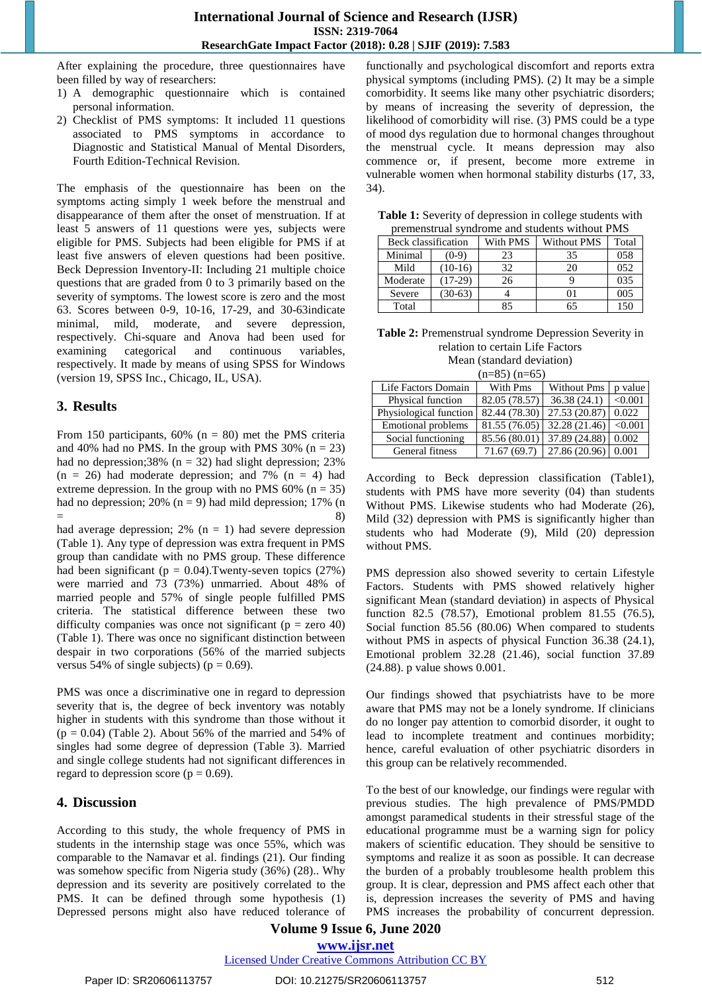After explaining the procedure, three questionnaires have been filled by way of researchers:

- 1) A demographic questionnaire which is contained personal information.
- 2) Checklist of PMS symptoms: It included 11 questions associated to PMS symptoms in accordance to Diagnostic and Statistical Manual of Mental Disorders, Fourth Edition-Technical Revision.

The emphasis of the questionnaire has been on the symptoms acting simply 1 week before the menstrual and disappearance of them after the onset of menstruation. If at least 5 answers of 11 questions were yes, subjects were eligible for PMS. Subjects had been eligible for PMS if at least five answers of eleven questions had been positive. Beck Depression Inventory-II: Including 21 multiple choice questions that are graded from 0 to 3 primarily based on the severity of symptoms. The lowest score is zero and the most 63. Scores between 0-9, 10-16, 17-29, and 30-63indicate minimal, mild, moderate, and severe depression, respectively. Chi-square and Anova had been used for examining categorical and continuous variables, respectively. It made by means of using SPSS for Windows (version 19, SPSS Inc., Chicago, IL, USA).

## **3. Results**

From 150 participants,  $60\%$  (n = 80) met the PMS criteria and 40% had no PMS. In the group with PMS 30%  $(n = 23)$ had no depression;38% ( $n = 32$ ) had slight depression; 23%  $(n = 26)$  had moderate depression; and 7%  $(n = 4)$  had extreme depression. In the group with no PMS  $60\%$  (n = 35) had no depression; 20% ( $n = 9$ ) had mild depression; 17% (n  $=$  8)

had average depression;  $2\%$  (n = 1) had severe depression (Table 1). Any type of depression was extra frequent in PMS group than candidate with no PMS group. These difference had been significant ( $p = 0.04$ ). Twenty-seven topics (27%) were married and 73 (73%) unmarried. About 48% of married people and 57% of single people fulfilled PMS criteria. The statistical difference between these two difficulty companies was once not significant ( $p =$  zero 40) (Table 1). There was once no significant distinction between despair in two corporations (56% of the married subjects versus 54% of single subjects) ( $p = 0.69$ ).

PMS was once a discriminative one in regard to depression severity that is, the degree of beck inventory was notably higher in students with this syndrome than those without it  $(p = 0.04)$  (Table 2). About 56% of the married and 54% of singles had some degree of depression (Table 3). Married and single college students had not significant differences in regard to depression score ( $p = 0.69$ ).

## **4. Discussion**

According to this study, the whole frequency of PMS in students in the internship stage was once 55%, which was comparable to the Namavar et al. findings (21). Our finding was somehow specific from Nigeria study (36%) (28).. Why depression and its severity are positively correlated to the PMS. It can be defined through some hypothesis (1) Depressed persons might also have reduced tolerance of functionally and psychological discomfort and reports extra physical symptoms (including PMS). (2) It may be a simple comorbidity. It seems like many other psychiatric disorders; by means of increasing the severity of depression, the likelihood of comorbidity will rise. (3) PMS could be a type of mood dys regulation due to hormonal changes throughout the menstrual cycle. It means depression may also commence or, if present, become more extreme in vulnerable women when hormonal stability disturbs (17, 33, 34).

| Table 1: Severity of depression in college students with |  |
|----------------------------------------------------------|--|
| premenstrual syndrome and students without PMS           |  |

| Beck classification |           | With PMS | <b>Without PMS</b> | Total |  |
|---------------------|-----------|----------|--------------------|-------|--|
| Minimal             | $(0-9)$   | 23       | 35                 | 058   |  |
| Mild                | $(10-16)$ | 32       | 20                 | 052   |  |
| Moderate            | $(17-29)$ | 26       |                    | 035   |  |
| Severe              | $(30-63)$ |          | 01                 | 005   |  |
| Total               |           | 85       | 65                 | 150   |  |

**Table 2:** Premenstrual syndrome Depression Severity in relation to certain Life Factors Mean (standard deviation)

 $(n-85)$   $(n-65)$ 

| (11–0 <i>0)</i> (11–0 <i>0)</i> |               |                    |         |  |  |
|---------------------------------|---------------|--------------------|---------|--|--|
| Life Factors Domain             | With Pms      | <b>Without Pms</b> | p value |  |  |
| Physical function               | 82.05 (78.57) | 36.38(24.1)        | < 0.001 |  |  |
| Physiological function          | 82.44 (78.30) | 27.53 (20.87)      | 0.022   |  |  |
| <b>Emotional problems</b>       | 81.55(76.05)  | 32.28 (21.46)      | < 0.001 |  |  |
| Social functioning              | 85.56 (80.01) | 37.89 (24.88)      | 0.002   |  |  |
| General fitness                 | 71.67(69.7)   | 27.86 (20.96)      | 0.001   |  |  |

According to Beck depression classification (Table1), students with PMS have more severity (04) than students Without PMS. Likewise students who had Moderate (26), Mild (32) depression with PMS is significantly higher than students who had Moderate (9), Mild (20) depression without PMS.

PMS depression also showed severity to certain Lifestyle Factors. Students with PMS showed relatively higher significant Mean (standard deviation) in aspects of Physical function 82.5 (78.57), Emotional problem 81.55 (76.5), Social function 85.56 (80.06) When compared to students without PMS in aspects of physical Function 36.38 (24.1), Emotional problem 32.28 (21.46), social function 37.89 (24.88). p value shows 0.001.

Our findings showed that psychiatrists have to be more aware that PMS may not be a lonely syndrome. If clinicians do no longer pay attention to comorbid disorder, it ought to lead to incomplete treatment and continues morbidity; hence, careful evaluation of other psychiatric disorders in this group can be relatively recommended.

To the best of our knowledge, our findings were regular with previous studies. The high prevalence of PMS/PMDD amongst paramedical students in their stressful stage of the educational programme must be a warning sign for policy makers of scientific education. They should be sensitive to symptoms and realize it as soon as possible. It can decrease the burden of a probably troublesome health problem this group. It is clear, depression and PMS affect each other that is, depression increases the severity of PMS and having PMS increases the probability of concurrent depression.

# **Volume 9 Issue 6, June 2020 www.ijsr.net**

Licensed Under Creative Commons Attribution CC BY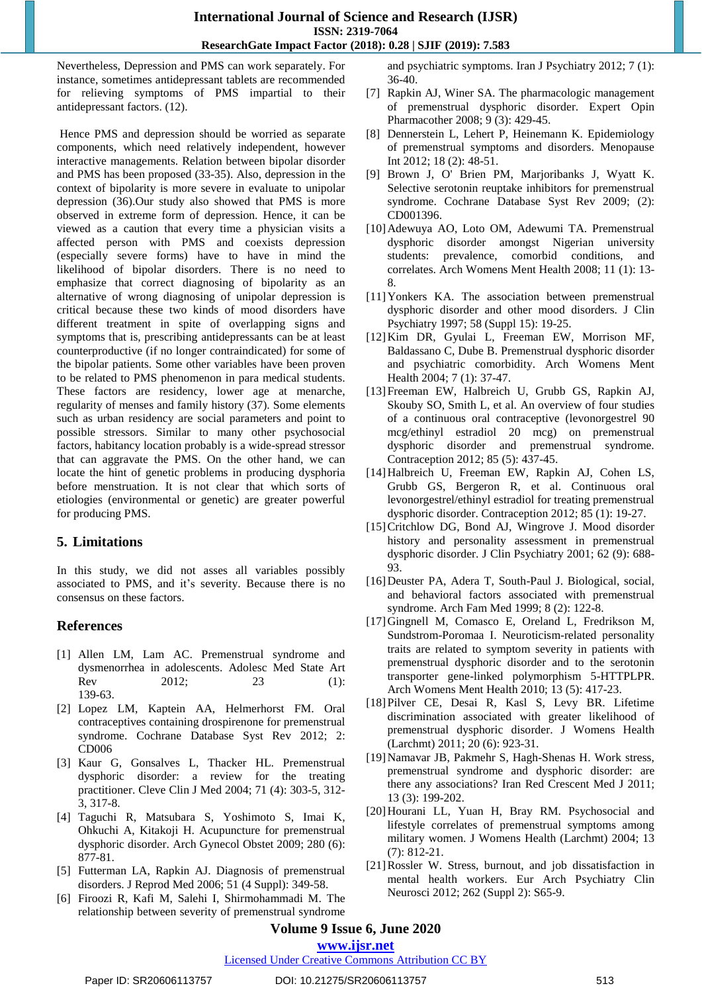#### **International Journal of Science and Research (IJSR) ISSN: 2319-7064 ResearchGate Impact Factor (2018): 0.28 | SJIF (2019): 7.583**

Nevertheless, Depression and PMS can work separately. For instance, sometimes antidepressant tablets are recommended for relieving symptoms of PMS impartial to their antidepressant factors. (12).

Hence PMS and depression should be worried as separate components, which need relatively independent, however interactive managements. Relation between bipolar disorder and PMS has been proposed (33-35). Also, depression in the context of bipolarity is more severe in evaluate to unipolar depression (36).Our study also showed that PMS is more observed in extreme form of depression. Hence, it can be viewed as a caution that every time a physician visits a affected person with PMS and coexists depression (especially severe forms) have to have in mind the likelihood of bipolar disorders. There is no need to emphasize that correct diagnosing of bipolarity as an alternative of wrong diagnosing of unipolar depression is critical because these two kinds of mood disorders have different treatment in spite of overlapping signs and symptoms that is, prescribing antidepressants can be at least counterproductive (if no longer contraindicated) for some of the bipolar patients. Some other variables have been proven to be related to PMS phenomenon in para medical students. These factors are residency, lower age at menarche, regularity of menses and family history (37). Some elements such as urban residency are social parameters and point to possible stressors. Similar to many other psychosocial factors, habitancy location probably is a wide-spread stressor that can aggravate the PMS. On the other hand, we can locate the hint of genetic problems in producing dysphoria before menstruation. It is not clear that which sorts of etiologies (environmental or genetic) are greater powerful for producing PMS.

## **5. Limitations**

In this study, we did not asses all variables possibly associated to PMS, and it's severity. Because there is no consensus on these factors.

## **References**

- [1] Allen LM, Lam AC. Premenstrual syndrome and dysmenorrhea in adolescents. Adolesc Med State Art Rev 2012; 23 (1): 139-63.
- [2] Lopez LM, Kaptein AA, Helmerhorst FM. Oral contraceptives containing drospirenone for premenstrual syndrome. Cochrane Database Syst Rev 2012; 2: CD006
- [3] Kaur G, Gonsalves L, Thacker HL. Premenstrual dysphoric disorder: a review for the treating practitioner. Cleve Clin J Med 2004; 71 (4): 303-5, 312- 3, 317-8.
- [4] Taguchi R, Matsubara S, Yoshimoto S, Imai K, Ohkuchi A, Kitakoji H. Acupuncture for premenstrual dysphoric disorder. Arch Gynecol Obstet 2009; 280 (6): 877-81.
- [5] Futterman LA, Rapkin AJ. Diagnosis of premenstrual disorders. J Reprod Med 2006; 51 (4 Suppl): 349-58.
- [6] Firoozi R, Kafi M, Salehi I, Shirmohammadi M. The relationship between severity of premenstrual syndrome

and psychiatric symptoms. Iran J Psychiatry 2012; 7 (1): 36-40.

- [7] Rapkin AJ, Winer SA. The pharmacologic management of premenstrual dysphoric disorder. Expert Opin Pharmacother 2008; 9 (3): 429-45.
- [8] Dennerstein L, Lehert P, Heinemann K. Epidemiology of premenstrual symptoms and disorders. Menopause Int 2012; 18 (2): 48-51.
- [9] Brown J, O' Brien PM, Marjoribanks J, Wyatt K. Selective serotonin reuptake inhibitors for premenstrual syndrome. Cochrane Database Syst Rev 2009; (2): CD001396.
- [10]Adewuya AO, Loto OM, Adewumi TA. Premenstrual dysphoric disorder amongst Nigerian university students: prevalence, comorbid conditions, and correlates. Arch Womens Ment Health 2008; 11 (1): 13- 8.
- [11]Yonkers KA. The association between premenstrual dysphoric disorder and other mood disorders. J Clin Psychiatry 1997; 58 (Suppl 15): 19-25.
- [12]Kim DR, Gyulai L, Freeman EW, Morrison MF, Baldassano C, Dube B. Premenstrual dysphoric disorder and psychiatric comorbidity. Arch Womens Ment Health 2004; 7 (1): 37-47.
- [13]Freeman EW, Halbreich U, Grubb GS, Rapkin AJ, Skouby SO, Smith L, et al. An overview of four studies of a continuous oral contraceptive (levonorgestrel 90 mcg/ethinyl estradiol 20 mcg) on premenstrual dysphoric disorder and premenstrual syndrome. Contraception 2012; 85 (5): 437-45.
- [14]Halbreich U, Freeman EW, Rapkin AJ, Cohen LS, Grubb GS, Bergeron R, et al. Continuous oral levonorgestrel/ethinyl estradiol for treating premenstrual dysphoric disorder. Contraception 2012; 85 (1): 19-27.
- [15]Critchlow DG, Bond AJ, Wingrove J. Mood disorder history and personality assessment in premenstrual dysphoric disorder. J Clin Psychiatry 2001; 62 (9): 688- 93.
- [16]Deuster PA, Adera T, South-Paul J. Biological, social, and behavioral factors associated with premenstrual syndrome. Arch Fam Med 1999; 8 (2): 122-8.
- [17]Gingnell M, Comasco E, Oreland L, Fredrikson M, Sundstrom-Poromaa I. Neuroticism-related personality traits are related to symptom severity in patients with premenstrual dysphoric disorder and to the serotonin transporter gene-linked polymorphism 5-HTTPLPR. Arch Womens Ment Health 2010; 13 (5): 417-23.
- [18]Pilver CE, Desai R, Kasl S, Levy BR. Lifetime discrimination associated with greater likelihood of premenstrual dysphoric disorder. J Womens Health (Larchmt) 2011; 20 (6): 923-31.
- [19]Namavar JB, Pakmehr S, Hagh-Shenas H. Work stress, premenstrual syndrome and dysphoric disorder: are there any associations? Iran Red Crescent Med J 2011; 13 (3): 199-202.
- [20]Hourani LL, Yuan H, Bray RM. Psychosocial and lifestyle correlates of premenstrual symptoms among military women. J Womens Health (Larchmt) 2004; 13 (7): 812-21.
- [21]Rossler W. Stress, burnout, and job dissatisfaction in mental health workers. Eur Arch Psychiatry Clin Neurosci 2012; 262 (Suppl 2): S65-9.

# **Volume 9 Issue 6, June 2020**

**www.ijsr.net**

#### Licensed Under Creative Commons Attribution CC BY